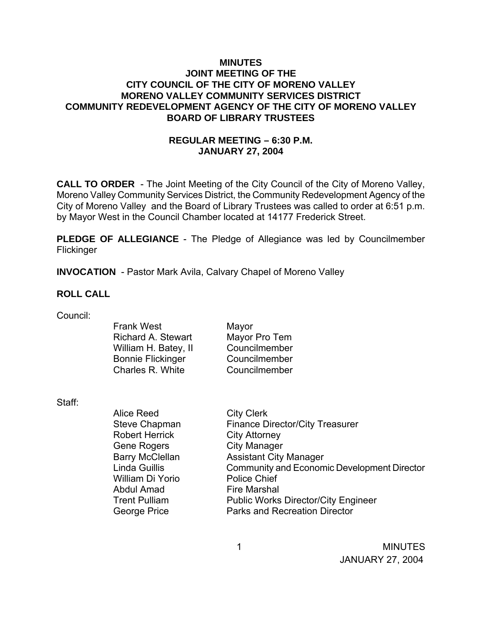### **MINUTES JOINT MEETING OF THE CITY COUNCIL OF THE CITY OF MORENO VALLEY MORENO VALLEY COMMUNITY SERVICES DISTRICT COMMUNITY REDEVELOPMENT AGENCY OF THE CITY OF MORENO VALLEY BOARD OF LIBRARY TRUSTEES**

# **REGULAR MEETING – 6:30 P.M. JANUARY 27, 2004**

**CALL TO ORDER** - The Joint Meeting of the City Council of the City of Moreno Valley, Moreno Valley Community Services District, the Community Redevelopment Agency of the City of Moreno Valley and the Board of Library Trustees was called to order at 6:51 p.m. by Mayor West in the Council Chamber located at 14177 Frederick Street.

**PLEDGE OF ALLEGIANCE** - The Pledge of Allegiance was led by Councilmember Flickinger

**INVOCATION** - Pastor Mark Avila, Calvary Chapel of Moreno Valley

#### **ROLL CALL**

| Council: |  |
|----------|--|
|          |  |

| <b>Frank West</b>         | Mayor         |
|---------------------------|---------------|
| <b>Richard A. Stewart</b> | Mayor Pro Tem |
| William H. Batey, II      | Councilmember |
| <b>Bonnie Flickinger</b>  | Councilmember |
| Charles R. White          | Councilmember |
|                           |               |

Staff:

Alice Reed City Clerk Steve Chapman Finance Director/City Treasurer Robert Herrick City Attorney Gene Rogers City Manager Barry McClellan **Assistant City Manager** Linda Guillis Community and Economic Development Director William Di Yorio Police Chief Abdul Amad Fire Marshal Trent Pulliam Public Works Director/City Engineer George Price **Parks and Recreation Director** 

 1 MINUTES JANUARY 27, 2004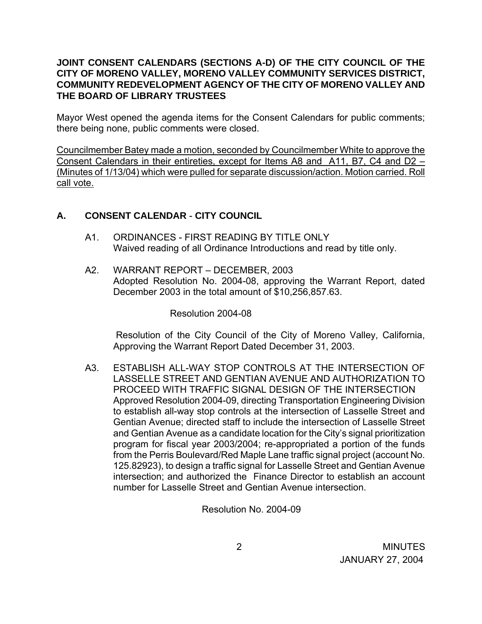### **JOINT CONSENT CALENDARS (SECTIONS A-D) OF THE CITY COUNCIL OF THE CITY OF MORENO VALLEY, MORENO VALLEY COMMUNITY SERVICES DISTRICT, COMMUNITY REDEVELOPMENT AGENCY OF THE CITY OF MORENO VALLEY AND THE BOARD OF LIBRARY TRUSTEES**

Mayor West opened the agenda items for the Consent Calendars for public comments; there being none, public comments were closed.

Councilmember Batey made a motion, seconded by Councilmember White to approve the Consent Calendars in their entireties, except for Items A8 and A11, B7, C4 and D2 – (Minutes of 1/13/04) which were pulled for separate discussion/action. Motion carried. Roll call vote.

# **A. CONSENT CALENDAR** - **CITY COUNCIL**

- A1 ORDINANCES FIRST READING BY TITLE ONLY Waived reading of all Ordinance Introductions and read by title only.
- A2. WARRANT REPORT DECEMBER, 2003 Adopted Resolution No. 2004-08, approving the Warrant Report, dated December 2003 in the total amount of \$10,256,857.63.

Resolution 2004-08

 Resolution of the City Council of the City of Moreno Valley, California, Approving the Warrant Report Dated December 31, 2003.

A3. ESTABLISH ALL-WAY STOP CONTROLS AT THE INTERSECTION OF LASSELLE STREET AND GENTIAN AVENUE AND AUTHORIZATION TO PROCEED WITH TRAFFIC SIGNAL DESIGN OF THE INTERSECTION Approved Resolution 2004-09, directing Transportation Engineering Division to establish all-way stop controls at the intersection of Lasselle Street and Gentian Avenue; directed staff to include the intersection of Lasselle Street and Gentian Avenue as a candidate location for the City's signal prioritization program for fiscal year 2003/2004; re-appropriated a portion of the funds from the Perris Boulevard/Red Maple Lane traffic signal project (account No. 125.82923), to design a traffic signal for Lasselle Street and Gentian Avenue intersection; and authorized the Finance Director to establish an account number for Lasselle Street and Gentian Avenue intersection.

Resolution No. 2004-09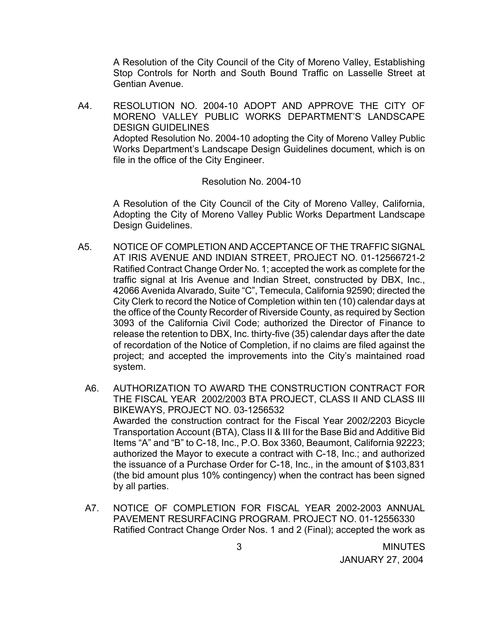A Resolution of the City Council of the City of Moreno Valley, Establishing Stop Controls for North and South Bound Traffic on Lasselle Street at Gentian Avenue.

A4. RESOLUTION NO. 2004-10 ADOPT AND APPROVE THE CITY OF MORENO VALLEY PUBLIC WORKS DEPARTMENT'S LANDSCAPE DESIGN GUIDELINES Adopted Resolution No. 2004-10 adopting the City of Moreno Valley Public Works Department's Landscape Design Guidelines document, which is on file in the office of the City Engineer.

#### Resolution No. 2004-10

A Resolution of the City Council of the City of Moreno Valley, California, Adopting the City of Moreno Valley Public Works Department Landscape Design Guidelines.

- A5. NOTICE OF COMPLETION AND ACCEPTANCE OF THE TRAFFIC SIGNAL AT IRIS AVENUE AND INDIAN STREET, PROJECT NO. 01-12566721-2 Ratified Contract Change Order No. 1; accepted the work as complete for the traffic signal at Iris Avenue and Indian Street, constructed by DBX, Inc., 42066 Avenida Alvarado, Suite "C", Temecula, California 92590; directed the City Clerk to record the Notice of Completion within ten (10) calendar days at the office of the County Recorder of Riverside County, as required by Section 3093 of the California Civil Code; authorized the Director of Finance to release the retention to DBX, Inc. thirty-five (35) calendar days after the date of recordation of the Notice of Completion, if no claims are filed against the project; and accepted the improvements into the City's maintained road system.
	- A6. AUTHORIZATION TO AWARD THE CONSTRUCTION CONTRACT FOR THE FISCAL YEAR 2002/2003 BTA PROJECT, CLASS II AND CLASS III BIKEWAYS, PROJECT NO. 03-1256532 Awarded the construction contract for the Fiscal Year 2002/2203 Bicycle Transportation Account (BTA), Class II & III for the Base Bid and Additive Bid Items "A" and "B" to C-18, Inc., P.O. Box 3360, Beaumont, California 92223; authorized the Mayor to execute a contract with C-18, Inc.; and authorized the issuance of a Purchase Order for C-18, Inc., in the amount of \$103,831 (the bid amount plus 10% contingency) when the contract has been signed by all parties.
	- A7. NOTICE OF COMPLETION FOR FISCAL YEAR 2002-2003 ANNUAL PAVEMENT RESURFACING PROGRAM. PROJECT NO. 01-12556330 Ratified Contract Change Order Nos. 1 and 2 (Final); accepted the work as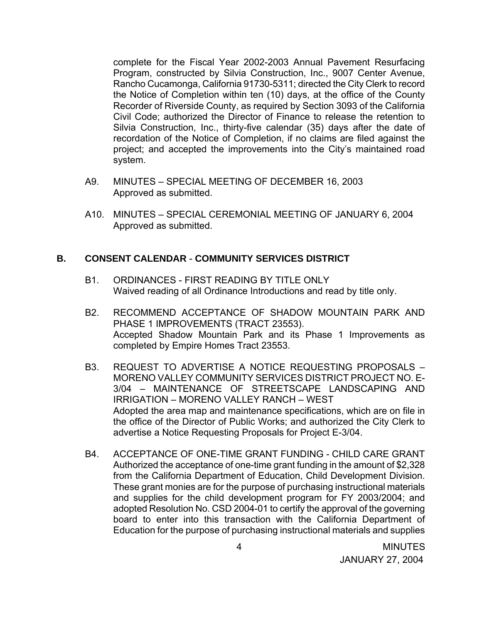complete for the Fiscal Year 2002-2003 Annual Pavement Resurfacing Program, constructed by Silvia Construction, Inc., 9007 Center Avenue, Rancho Cucamonga, California 91730-5311; directed the City Clerk to record the Notice of Completion within ten (10) days, at the office of the County Recorder of Riverside County, as required by Section 3093 of the California Civil Code; authorized the Director of Finance to release the retention to Silvia Construction, Inc., thirty-five calendar (35) days after the date of recordation of the Notice of Completion, if no claims are filed against the project; and accepted the improvements into the City's maintained road system.

- A9. MINUTES SPECIAL MEETING OF DECEMBER 16, 2003 Approved as submitted.
- A10. MINUTES SPECIAL CEREMONIAL MEETING OF JANUARY 6, 2004 Approved as submitted.

#### **B. CONSENT CALENDAR** - **COMMUNITY SERVICES DISTRICT**

- B1. ORDINANCES FIRST READING BY TITLE ONLY Waived reading of all Ordinance Introductions and read by title only.
- B2. RECOMMEND ACCEPTANCE OF SHADOW MOUNTAIN PARK AND PHASE 1 IMPROVEMENTS (TRACT 23553). Accepted Shadow Mountain Park and its Phase 1 Improvements as completed by Empire Homes Tract 23553.
- B3. REQUEST TO ADVERTISE A NOTICE REQUESTING PROPOSALS MORENO VALLEY COMMUNITY SERVICES DISTRICT PROJECT NO. E-3/04 – MAINTENANCE OF STREETSCAPE LANDSCAPING AND IRRIGATION – MORENO VALLEY RANCH – WEST Adopted the area map and maintenance specifications, which are on file in the office of the Director of Public Works; and authorized the City Clerk to advertise a Notice Requesting Proposals for Project E-3/04.
- B4. ACCEPTANCE OF ONE-TIME GRANT FUNDING CHILD CARE GRANT Authorized the acceptance of one-time grant funding in the amount of \$2,328 from the California Department of Education, Child Development Division. These grant monies are for the purpose of purchasing instructional materials and supplies for the child development program for FY 2003/2004; and adopted Resolution No. CSD 2004-01 to certify the approval of the governing board to enter into this transaction with the California Department of Education for the purpose of purchasing instructional materials and supplies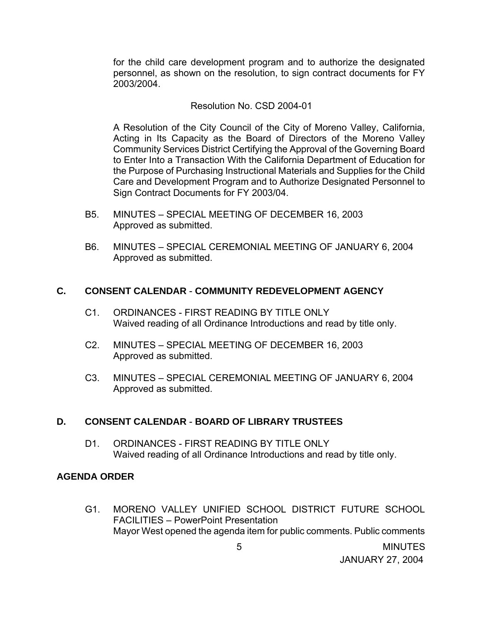for the child care development program and to authorize the designated personnel, as shown on the resolution, to sign contract documents for FY 2003/2004.

#### Resolution No. CSD 2004-01

A Resolution of the City Council of the City of Moreno Valley, California, Acting in Its Capacity as the Board of Directors of the Moreno Valley Community Services District Certifying the Approval of the Governing Board to Enter Into a Transaction With the California Department of Education for the Purpose of Purchasing Instructional Materials and Supplies for the Child Care and Development Program and to Authorize Designated Personnel to Sign Contract Documents for FY 2003/04.

- B5. MINUTES SPECIAL MEETING OF DECEMBER 16, 2003 Approved as submitted.
- B6. MINUTES SPECIAL CEREMONIAL MEETING OF JANUARY 6, 2004 Approved as submitted.

#### **C. CONSENT CALENDAR** - **COMMUNITY REDEVELOPMENT AGENCY**

- C1. ORDINANCES FIRST READING BY TITLE ONLY Waived reading of all Ordinance Introductions and read by title only.
- C2. MINUTES SPECIAL MEETING OF DECEMBER 16, 2003 Approved as submitted.
- C3. MINUTES SPECIAL CEREMONIAL MEETING OF JANUARY 6, 2004 Approved as submitted.

### **D. CONSENT CALENDAR** - **BOARD OF LIBRARY TRUSTEES**

D1. ORDINANCES - FIRST READING BY TITLE ONLY Waived reading of all Ordinance Introductions and read by title only.

#### **AGENDA ORDER**

 G1. MORENO VALLEY UNIFIED SCHOOL DISTRICT FUTURE SCHOOL FACILITIES – PowerPoint Presentation Mayor West opened the agenda item for public comments. Public comments

5 MINUTES

JANUARY 27, 2004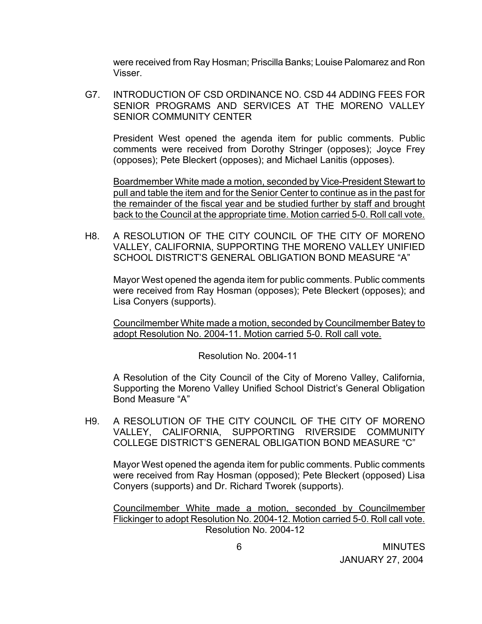were received from Ray Hosman; Priscilla Banks; Louise Palomarez and Ron Visser.

 G7. INTRODUCTION OF CSD ORDINANCE NO. CSD 44 ADDING FEES FOR SENIOR PROGRAMS AND SERVICES AT THE MORENO VALLEY SENIOR COMMUNITY CENTER

President West opened the agenda item for public comments. Public comments were received from Dorothy Stringer (opposes); Joyce Frey (opposes); Pete Bleckert (opposes); and Michael Lanitis (opposes).

Boardmember White made a motion, seconded by Vice-President Stewart to pull and table the item and for the Senior Center to continue as in the past for the remainder of the fiscal year and be studied further by staff and brought back to the Council at the appropriate time. Motion carried 5-0. Roll call vote.

H8. A RESOLUTION OF THE CITY COUNCIL OF THE CITY OF MORENO VALLEY, CALIFORNIA, SUPPORTING THE MORENO VALLEY UNIFIED SCHOOL DISTRICT'S GENERAL OBLIGATION BOND MEASURE "A"

 Mayor West opened the agenda item for public comments. Public comments were received from Ray Hosman (opposes); Pete Bleckert (opposes); and Lisa Conyers (supports).

Councilmember White made a motion, seconded by Councilmember Batey to adopt Resolution No. 2004-11. Motion carried 5-0. Roll call vote.

Resolution No. 2004-11

A Resolution of the City Council of the City of Moreno Valley, California, Supporting the Moreno Valley Unified School District's General Obligation Bond Measure "A"

H9. A RESOLUTION OF THE CITY COUNCIL OF THE CITY OF MORENO VALLEY, CALIFORNIA, SUPPORTING RIVERSIDE COMMUNITY COLLEGE DISTRICT'S GENERAL OBLIGATION BOND MEASURE "C"

 Mayor West opened the agenda item for public comments. Public comments were received from Ray Hosman (opposed); Pete Bleckert (opposed) Lisa Conyers (supports) and Dr. Richard Tworek (supports).

 Councilmember White made a motion, seconded by Councilmember Flickinger to adopt Resolution No. 2004-12. Motion carried 5-0. Roll call vote. Resolution No. 2004-12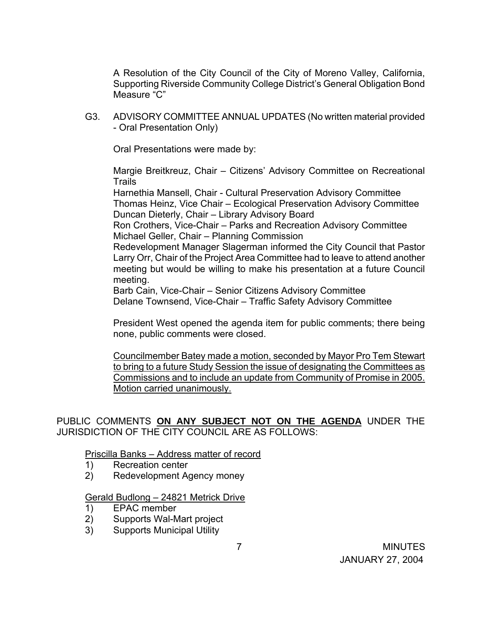A Resolution of the City Council of the City of Moreno Valley, California, Supporting Riverside Community College District's General Obligation Bond Measure "C"

G3. ADVISORY COMMITTEE ANNUAL UPDATES (No written material provided - Oral Presentation Only)

Oral Presentations were made by:

 Margie Breitkreuz, Chair – Citizens' Advisory Committee on Recreational **Trails** 

 Harnethia Mansell, Chair - Cultural Preservation Advisory Committee Thomas Heinz, Vice Chair – Ecological Preservation Advisory Committee Duncan Dieterly, Chair – Library Advisory Board

 Ron Crothers, Vice-Chair – Parks and Recreation Advisory Committee Michael Geller, Chair – Planning Commission

 Redevelopment Manager Slagerman informed the City Council that Pastor Larry Orr, Chair of the Project Area Committee had to leave to attend another meeting but would be willing to make his presentation at a future Council meeting.

Barb Cain, Vice-Chair – Senior Citizens Advisory Committee Delane Townsend, Vice-Chair – Traffic Safety Advisory Committee

 President West opened the agenda item for public comments; there being none, public comments were closed.

Councilmember Batey made a motion, seconded by Mayor Pro Tem Stewart to bring to a future Study Session the issue of designating the Committees as Commissions and to include an update from Community of Promise in 2005. Motion carried unanimously.

### PUBLIC COMMENTS **ON ANY SUBJECT NOT ON THE AGENDA** UNDER THE JURISDICTION OF THE CITY COUNCIL ARE AS FOLLOWS:

Priscilla Banks – Address matter of record

- 1) Recreation center
- 2) Redevelopment Agency money

#### Gerald Budlong – 24821 Metrick Drive

- 1) EPAC member
- 2) Supports Wal-Mart project
- 3) Supports Municipal Utility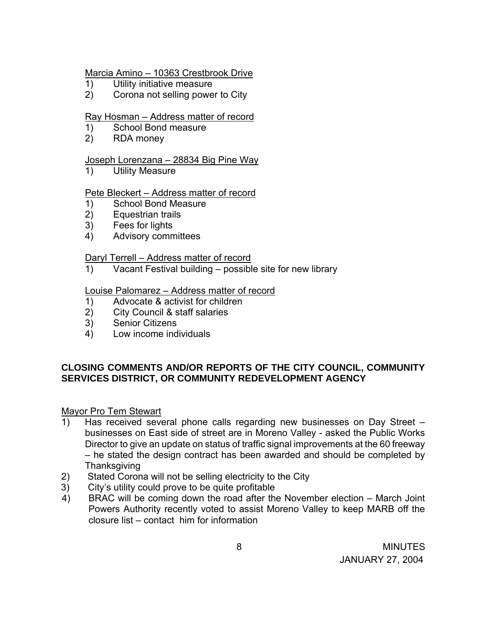### Marcia Amino – 10363 Crestbrook Drive

- 1) Utility initiative measure
- 2) Corona not selling power to City

### Ray Hosman – Address matter of record

- 1) School Bond measure
- 2) RDA money

### Joseph Lorenzana – 28834 Big Pine Way

1) Utility Measure

### Pete Bleckert – Address matter of record

- 1) School Bond Measure
- 2) Equestrian trails
- 3) Fees for lights
- 4) Advisory committees

### Daryl Terrell – Address matter of record

1) Vacant Festival building – possible site for new library

### Louise Palomarez – Address matter of record

- 1) Advocate & activist for children
- 2) City Council & staff salaries
- 3) Senior Citizens
- 4) Low income individuals

# **CLOSING COMMENTS AND/OR REPORTS OF THE CITY COUNCIL, COMMUNITY SERVICES DISTRICT, OR COMMUNITY REDEVELOPMENT AGENCY**

#### Mayor Pro Tem Stewart

- 1) Has received several phone calls regarding new businesses on Day Street businesses on East side of street are in Moreno Valley - asked the Public Works Director to give an update on status of traffic signal improvements at the 60 freeway – he stated the design contract has been awarded and should be completed by **Thanksgiving**
- 2) Stated Corona will not be selling electricity to the City
- 3) City's utility could prove to be quite profitable
- 4) BRAC will be coming down the road after the November election March Joint Powers Authority recently voted to assist Moreno Valley to keep MARB off the closure list – contact him for information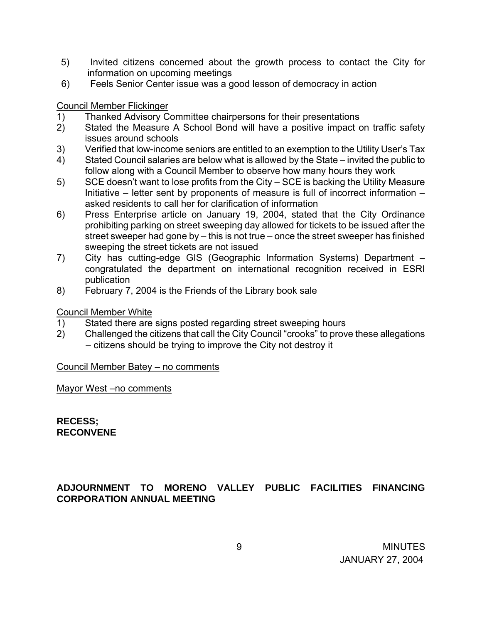- 5) Invited citizens concerned about the growth process to contact the City for information on upcoming meetings
- 6) Feels Senior Center issue was a good lesson of democracy in action

### Council Member Flickinger

- 1) Thanked Advisory Committee chairpersons for their presentations
- 2) Stated the Measure A School Bond will have a positive impact on traffic safety issues around schools
- 3) Verified that low-income seniors are entitled to an exemption to the Utility User's Tax
- 4) Stated Council salaries are below what is allowed by the State invited the public to follow along with a Council Member to observe how many hours they work
- 5) SCE doesn't want to lose profits from the City SCE is backing the Utility Measure Initiative – letter sent by proponents of measure is full of incorrect information – asked residents to call her for clarification of information
- 6) Press Enterprise article on January 19, 2004, stated that the City Ordinance prohibiting parking on street sweeping day allowed for tickets to be issued after the street sweeper had gone by – this is not true – once the street sweeper has finished sweeping the street tickets are not issued
- 7) City has cutting-edge GIS (Geographic Information Systems) Department congratulated the department on international recognition received in ESRI publication
- 8) February 7, 2004 is the Friends of the Library book sale

### Council Member White

- 1) Stated there are signs posted regarding street sweeping hours
- 2) Challenged the citizens that call the City Council "crooks" to prove these allegations – citizens should be trying to improve the City not destroy it

#### Council Member Batey – no comments

Mayor West –no comments

**RECESS; RECONVENE** 

# **ADJOURNMENT TO MORENO VALLEY PUBLIC FACILITIES FINANCING CORPORATION ANNUAL MEETING**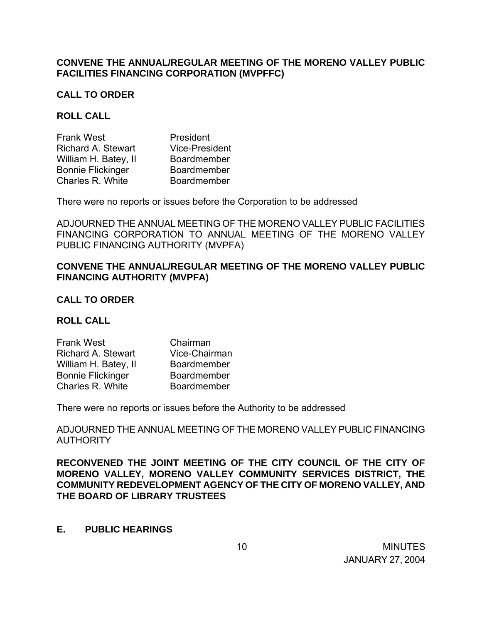### **CONVENE THE ANNUAL/REGULAR MEETING OF THE MORENO VALLEY PUBLIC FACILITIES FINANCING CORPORATION (MVPFFC)**

#### **CALL TO ORDER**

#### **ROLL CALL**

| <b>Frank West</b>         | President             |
|---------------------------|-----------------------|
| <b>Richard A. Stewart</b> | <b>Vice-President</b> |
| William H. Batey, II      | <b>Boardmember</b>    |
| <b>Bonnie Flickinger</b>  | <b>Boardmember</b>    |
| Charles R. White          | Boardmember           |

There were no reports or issues before the Corporation to be addressed

ADJOURNED THE ANNUAL MEETING OF THE MORENO VALLEY PUBLIC FACILITIES FINANCING CORPORATION TO ANNUAL MEETING OF THE MORENO VALLEY PUBLIC FINANCING AUTHORITY (MVPFA)

### **CONVENE THE ANNUAL/REGULAR MEETING OF THE MORENO VALLEY PUBLIC FINANCING AUTHORITY (MVPFA)**

#### **CALL TO ORDER**

#### **ROLL CALL**

| Chairman           |
|--------------------|
| Vice-Chairman      |
| <b>Boardmember</b> |
| Boardmember        |
| Boardmember        |
|                    |

There were no reports or issues before the Authority to be addressed

ADJOURNED THE ANNUAL MEETING OF THE MORENO VALLEY PUBLIC FINANCING **AUTHORITY** 

**RECONVENED THE JOINT MEETING OF THE CITY COUNCIL OF THE CITY OF MORENO VALLEY, MORENO VALLEY COMMUNITY SERVICES DISTRICT, THE COMMUNITY REDEVELOPMENT AGENCY OF THE CITY OF MORENO VALLEY, AND THE BOARD OF LIBRARY TRUSTEES** 

#### **E. PUBLIC HEARINGS**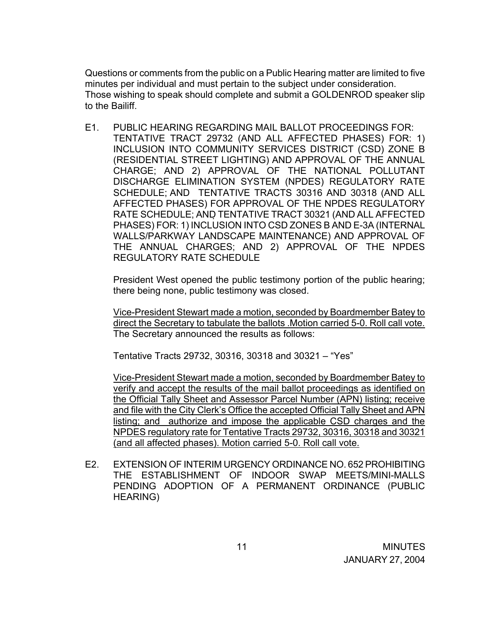Questions or comments from the public on a Public Hearing matter are limited to five minutes per individual and must pertain to the subject under consideration. Those wishing to speak should complete and submit a GOLDENROD speaker slip to the Bailiff.

E1. PUBLIC HEARING REGARDING MAIL BALLOT PROCEEDINGS FOR: TENTATIVE TRACT 29732 (AND ALL AFFECTED PHASES) FOR: 1) INCLUSION INTO COMMUNITY SERVICES DISTRICT (CSD) ZONE B (RESIDENTIAL STREET LIGHTING) AND APPROVAL OF THE ANNUAL CHARGE; AND 2) APPROVAL OF THE NATIONAL POLLUTANT DISCHARGE ELIMINATION SYSTEM (NPDES) REGULATORY RATE SCHEDULE; AND TENTATIVE TRACTS 30316 AND 30318 (AND ALL AFFECTED PHASES) FOR APPROVAL OF THE NPDES REGULATORY RATE SCHEDULE; AND TENTATIVE TRACT 30321 (AND ALL AFFECTED PHASES) FOR: 1) INCLUSION INTO CSD ZONES B AND E-3A (INTERNAL WALLS/PARKWAY LANDSCAPE MAINTENANCE) AND APPROVAL OF THE ANNUAL CHARGES; AND 2) APPROVAL OF THE NPDES REGULATORY RATE SCHEDULE

President West opened the public testimony portion of the public hearing; there being none, public testimony was closed.

Vice-President Stewart made a motion, seconded by Boardmember Batey to direct the Secretary to tabulate the ballots .Motion carried 5-0. Roll call vote. The Secretary announced the results as follows:

Tentative Tracts 29732, 30316, 30318 and 30321 – "Yes"

Vice-President Stewart made a motion, seconded by Boardmember Batey to verify and accept the results of the mail ballot proceedings as identified on the Official Tally Sheet and Assessor Parcel Number (APN) listing; receive and file with the City Clerk's Office the accepted Official Tally Sheet and APN listing; and authorize and impose the applicable CSD charges and the NPDES regulatory rate for Tentative Tracts 29732, 30316, 30318 and 30321 (and all affected phases). Motion carried 5-0. Roll call vote.

 E2. EXTENSION OF INTERIM URGENCY ORDINANCE NO. 652 PROHIBITING THE ESTABLISHMENT OF INDOOR SWAP MEETS/MINI-MALLS PENDING ADOPTION OF A PERMANENT ORDINANCE (PUBLIC HEARING)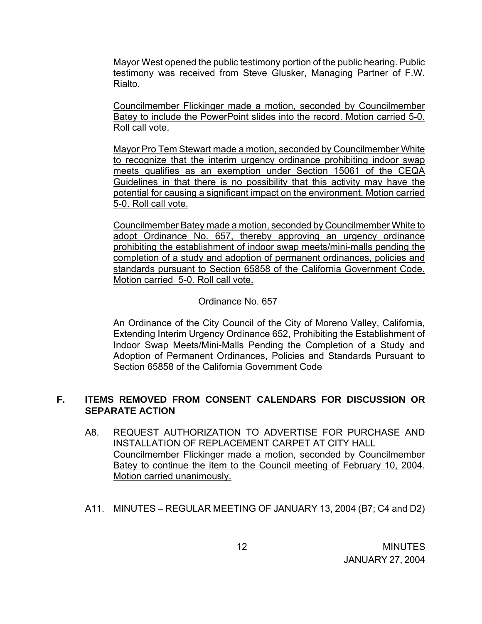Mayor West opened the public testimony portion of the public hearing. Public testimony was received from Steve Glusker, Managing Partner of F.W. Rialto.

Councilmember Flickinger made a motion, seconded by Councilmember Batey to include the PowerPoint slides into the record. Motion carried 5-0. Roll call vote.

Mayor Pro Tem Stewart made a motion, seconded by Councilmember White to recognize that the interim urgency ordinance prohibiting indoor swap meets qualifies as an exemption under Section 15061 of the CEQA Guidelines in that there is no possibility that this activity may have the potential for causing a significant impact on the environment. Motion carried 5-0. Roll call vote.

Councilmember Batey made a motion, seconded by Councilmember White to adopt Ordinance No. 657, thereby approving an urgency ordinance prohibiting the establishment of indoor swap meets/mini-malls pending the completion of a study and adoption of permanent ordinances, policies and standards pursuant to Section 65858 of the California Government Code. Motion carried 5-0. Roll call vote.

### Ordinance No. 657

An Ordinance of the City Council of the City of Moreno Valley, California, Extending Interim Urgency Ordinance 652, Prohibiting the Establishment of Indoor Swap Meets/Mini-Malls Pending the Completion of a Study and Adoption of Permanent Ordinances, Policies and Standards Pursuant to Section 65858 of the California Government Code

# **F. ITEMS REMOVED FROM CONSENT CALENDARS FOR DISCUSSION OR SEPARATE ACTION**

- A8. REQUEST AUTHORIZATION TO ADVERTISE FOR PURCHASE AND INSTALLATION OF REPLACEMENT CARPET AT CITY HALL Councilmember Flickinger made a motion, seconded by Councilmember Batey to continue the item to the Council meeting of February 10, 2004. Motion carried unanimously.
- A11. MINUTES REGULAR MEETING OF JANUARY 13, 2004 (B7; C4 and D2)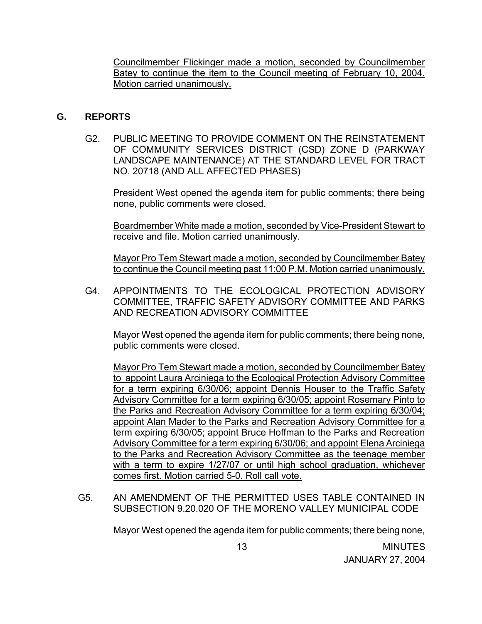Councilmember Flickinger made a motion, seconded by Councilmember Batey to continue the item to the Council meeting of February 10, 2004. Motion carried unanimously.

### **G. REPORTS**

G2. PUBLIC MEETING TO PROVIDE COMMENT ON THE REINSTATEMENT OF COMMUNITY SERVICES DISTRICT (CSD) ZONE D (PARKWAY LANDSCAPE MAINTENANCE) AT THE STANDARD LEVEL FOR TRACT NO. 20718 (AND ALL AFFECTED PHASES)

 President West opened the agenda item for public comments; there being none, public comments were closed.

 Boardmember White made a motion, seconded by Vice-President Stewart to receive and file. Motion carried unanimously.

 Mayor Pro Tem Stewart made a motion, seconded by Councilmember Batey to continue the Council meeting past 11:00 P.M. Motion carried unanimously.

G4. APPOINTMENTS TO THE ECOLOGICAL PROTECTION ADVISORY COMMITTEE, TRAFFIC SAFETY ADVISORY COMMITTEE AND PARKS AND RECREATION ADVISORY COMMITTEE

 Mayor West opened the agenda item for public comments; there being none, public comments were closed.

Mayor Pro Tem Stewart made a motion, seconded by Councilmember Batey to appoint Laura Arciniega to the Ecological Protection Advisory Committee for a term expiring 6/30/06; appoint Dennis Houser to the Traffic Safety Advisory Committee for a term expiring 6/30/05; appoint Rosemary Pinto to the Parks and Recreation Advisory Committee for a term expiring 6/30/04; appoint Alan Mader to the Parks and Recreation Advisory Committee for a term expiring 6/30/05; appoint Bruce Hoffman to the Parks and Recreation Advisory Committee for a term expiring 6/30/06; and appoint Elena Arciniega to the Parks and Recreation Advisory Committee as the teenage member with a term to expire 1/27/07 or until high school graduation, whichever comes first. Motion carried 5-0. Roll call vote.

G5. AN AMENDMENT OF THE PERMITTED USES TABLE CONTAINED IN SUBSECTION 9.20.020 OF THE MORENO VALLEY MUNICIPAL CODE

Mayor West opened the agenda item for public comments; there being none,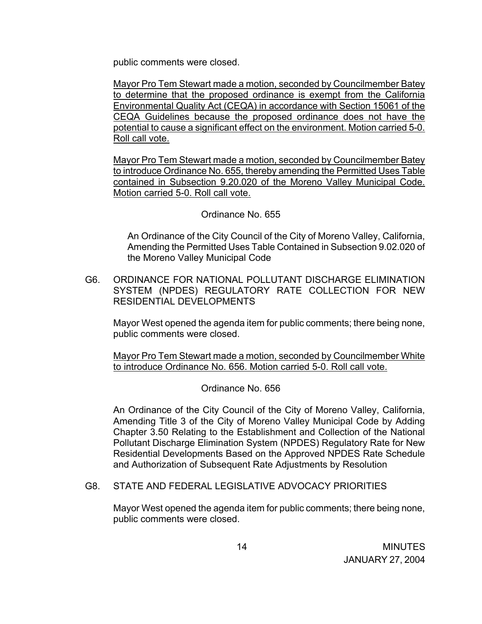public comments were closed.

 Mayor Pro Tem Stewart made a motion, seconded by Councilmember Batey to determine that the proposed ordinance is exempt from the California Environmental Quality Act (CEQA) in accordance with Section 15061 of the CEQA Guidelines because the proposed ordinance does not have the potential to cause a significant effect on the environment. Motion carried 5-0. Roll call vote.

 Mayor Pro Tem Stewart made a motion, seconded by Councilmember Batey to introduce Ordinance No. 655, thereby amending the Permitted Uses Table contained in Subsection 9.20.020 of the Moreno Valley Municipal Code. Motion carried 5-0. Roll call vote.

#### Ordinance No. 655

An Ordinance of the City Council of the City of Moreno Valley, California, Amending the Permitted Uses Table Contained in Subsection 9.02.020 of the Moreno Valley Municipal Code

G6. ORDINANCE FOR NATIONAL POLLUTANT DISCHARGE ELIMINATION SYSTEM (NPDES) REGULATORY RATE COLLECTION FOR NEW RESIDENTIAL DEVELOPMENTS

 Mayor West opened the agenda item for public comments; there being none, public comments were closed.

 Mayor Pro Tem Stewart made a motion, seconded by Councilmember White to introduce Ordinance No. 656. Motion carried 5-0. Roll call vote.

#### Ordinance No. 656

An Ordinance of the City Council of the City of Moreno Valley, California, Amending Title 3 of the City of Moreno Valley Municipal Code by Adding Chapter 3.50 Relating to the Establishment and Collection of the National Pollutant Discharge Elimination System (NPDES) Regulatory Rate for New Residential Developments Based on the Approved NPDES Rate Schedule and Authorization of Subsequent Rate Adjustments by Resolution

G8. STATE AND FEDERAL LEGISLATIVE ADVOCACY PRIORITIES

 Mayor West opened the agenda item for public comments; there being none, public comments were closed.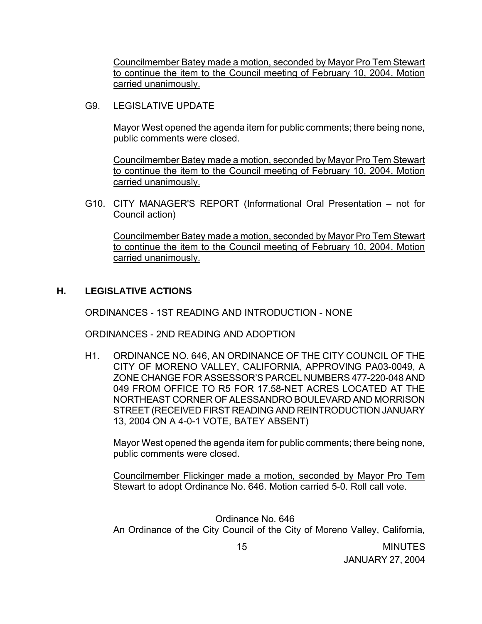Councilmember Batey made a motion, seconded by Mayor Pro Tem Stewart to continue the item to the Council meeting of February 10, 2004. Motion carried unanimously.

G9. LEGISLATIVE UPDATE

Mayor West opened the agenda item for public comments; there being none, public comments were closed.

 Councilmember Batey made a motion, seconded by Mayor Pro Tem Stewart to continue the item to the Council meeting of February 10, 2004. Motion carried unanimously.

G10. CITY MANAGER'S REPORT (Informational Oral Presentation – not for Council action)

 Councilmember Batey made a motion, seconded by Mayor Pro Tem Stewart to continue the item to the Council meeting of February 10, 2004. Motion carried unanimously.

### **H. LEGISLATIVE ACTIONS**

ORDINANCES - 1ST READING AND INTRODUCTION - NONE

ORDINANCES - 2ND READING AND ADOPTION

H1. ORDINANCE NO. 646, AN ORDINANCE OF THE CITY COUNCIL OF THE CITY OF MORENO VALLEY, CALIFORNIA, APPROVING PA03-0049, A ZONE CHANGE FOR ASSESSOR'S PARCEL NUMBERS 477-220-048 AND 049 FROM OFFICE TO R5 FOR 17.58-NET ACRES LOCATED AT THE NORTHEAST CORNER OF ALESSANDRO BOULEVARD AND MORRISON STREET (RECEIVED FIRST READING AND REINTRODUCTION JANUARY 13, 2004 ON A 4-0-1 VOTE, BATEY ABSENT)

 Mayor West opened the agenda item for public comments; there being none, public comments were closed.

 Councilmember Flickinger made a motion, seconded by Mayor Pro Tem Stewart to adopt Ordinance No. 646. Motion carried 5-0. Roll call vote.

Ordinance No. 646 An Ordinance of the City Council of the City of Moreno Valley, California,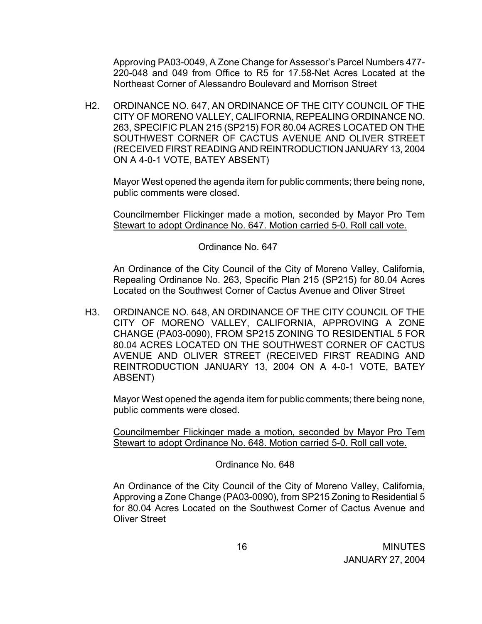Approving PA03-0049, A Zone Change for Assessor's Parcel Numbers 477- 220-048 and 049 from Office to R5 for 17.58-Net Acres Located at the Northeast Corner of Alessandro Boulevard and Morrison Street

H2. ORDINANCE NO. 647, AN ORDINANCE OF THE CITY COUNCIL OF THE CITY OF MORENO VALLEY, CALIFORNIA, REPEALING ORDINANCE NO. 263, SPECIFIC PLAN 215 (SP215) FOR 80.04 ACRES LOCATED ON THE SOUTHWEST CORNER OF CACTUS AVENUE AND OLIVER STREET (RECEIVED FIRST READING AND REINTRODUCTION JANUARY 13, 2004 ON A 4-0-1 VOTE, BATEY ABSENT)

 Mayor West opened the agenda item for public comments; there being none, public comments were closed.

 Councilmember Flickinger made a motion, seconded by Mayor Pro Tem Stewart to adopt Ordinance No. 647. Motion carried 5-0. Roll call vote.

Ordinance No. 647

 An Ordinance of the City Council of the City of Moreno Valley, California, Repealing Ordinance No. 263, Specific Plan 215 (SP215) for 80.04 Acres Located on the Southwest Corner of Cactus Avenue and Oliver Street

H3. ORDINANCE NO. 648, AN ORDINANCE OF THE CITY COUNCIL OF THE CITY OF MORENO VALLEY, CALIFORNIA, APPROVING A ZONE CHANGE (PA03-0090), FROM SP215 ZONING TO RESIDENTIAL 5 FOR 80.04 ACRES LOCATED ON THE SOUTHWEST CORNER OF CACTUS AVENUE AND OLIVER STREET (RECEIVED FIRST READING AND REINTRODUCTION JANUARY 13, 2004 ON A 4-0-1 VOTE, BATEY ABSENT)

 Mayor West opened the agenda item for public comments; there being none, public comments were closed.

 Councilmember Flickinger made a motion, seconded by Mayor Pro Tem Stewart to adopt Ordinance No. 648. Motion carried 5-0. Roll call vote.

Ordinance No. 648

 An Ordinance of the City Council of the City of Moreno Valley, California, Approving a Zone Change (PA03-0090), from SP215 Zoning to Residential 5 for 80.04 Acres Located on the Southwest Corner of Cactus Avenue and Oliver Street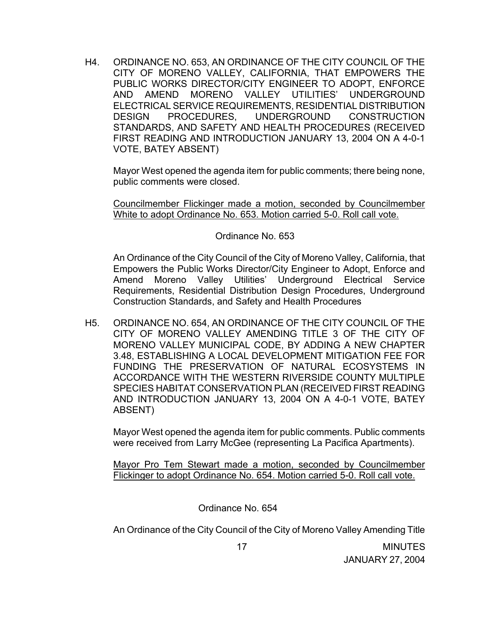H4. ORDINANCE NO. 653, AN ORDINANCE OF THE CITY COUNCIL OF THE CITY OF MORENO VALLEY, CALIFORNIA, THAT EMPOWERS THE PUBLIC WORKS DIRECTOR/CITY ENGINEER TO ADOPT, ENFORCE AND AMEND MORENO VALLEY UTILITIES' UNDERGROUND ELECTRICAL SERVICE REQUIREMENTS, RESIDENTIAL DISTRIBUTION DESIGN PROCEDURES, UNDERGROUND CONSTRUCTION STANDARDS, AND SAFETY AND HEALTH PROCEDURES (RECEIVED FIRST READING AND INTRODUCTION JANUARY 13, 2004 ON A 4-0-1 VOTE, BATEY ABSENT)

 Mayor West opened the agenda item for public comments; there being none, public comments were closed.

 Councilmember Flickinger made a motion, seconded by Councilmember White to adopt Ordinance No. 653. Motion carried 5-0. Roll call vote.

Ordinance No. 653

 An Ordinance of the City Council of the City of Moreno Valley, California, that Empowers the Public Works Director/City Engineer to Adopt, Enforce and Amend Moreno Valley Utilities' Underground Electrical Service Requirements, Residential Distribution Design Procedures, Underground Construction Standards, and Safety and Health Procedures

H5. ORDINANCE NO. 654, AN ORDINANCE OF THE CITY COUNCIL OF THE CITY OF MORENO VALLEY AMENDING TITLE 3 OF THE CITY OF MORENO VALLEY MUNICIPAL CODE, BY ADDING A NEW CHAPTER 3.48, ESTABLISHING A LOCAL DEVELOPMENT MITIGATION FEE FOR FUNDING THE PRESERVATION OF NATURAL ECOSYSTEMS IN ACCORDANCE WITH THE WESTERN RIVERSIDE COUNTY MULTIPLE SPECIES HABITAT CONSERVATION PLAN (RECEIVED FIRST READING AND INTRODUCTION JANUARY 13, 2004 ON A 4-0-1 VOTE, BATEY ABSENT)

 Mayor West opened the agenda item for public comments. Public comments were received from Larry McGee (representing La Pacifica Apartments).

 Mayor Pro Tem Stewart made a motion, seconded by Councilmember Flickinger to adopt Ordinance No. 654. Motion carried 5-0. Roll call vote.

Ordinance No. 654

An Ordinance of the City Council of the City of Moreno Valley Amending Title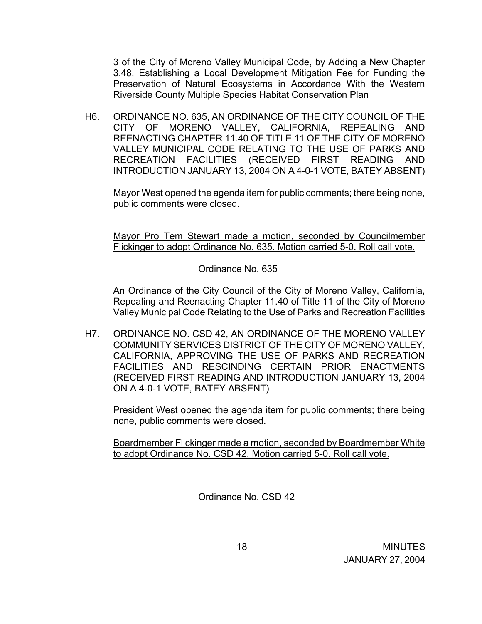3 of the City of Moreno Valley Municipal Code, by Adding a New Chapter 3.48, Establishing a Local Development Mitigation Fee for Funding the Preservation of Natural Ecosystems in Accordance With the Western Riverside County Multiple Species Habitat Conservation Plan

H6. ORDINANCE NO. 635, AN ORDINANCE OF THE CITY COUNCIL OF THE CITY OF MORENO VALLEY, CALIFORNIA, REPEALING AND REENACTING CHAPTER 11.40 OF TITLE 11 OF THE CITY OF MORENO VALLEY MUNICIPAL CODE RELATING TO THE USE OF PARKS AND RECREATION FACILITIES (RECEIVED FIRST READING AND INTRODUCTION JANUARY 13, 2004 ON A 4-0-1 VOTE, BATEY ABSENT)

Mayor West opened the agenda item for public comments; there being none, public comments were closed.

Mayor Pro Tem Stewart made a motion, seconded by Councilmember Flickinger to adopt Ordinance No. 635. Motion carried 5-0. Roll call vote.

Ordinance No. 635

An Ordinance of the City Council of the City of Moreno Valley, California, Repealing and Reenacting Chapter 11.40 of Title 11 of the City of Moreno Valley Municipal Code Relating to the Use of Parks and Recreation Facilities

H7. ORDINANCE NO. CSD 42, AN ORDINANCE OF THE MORENO VALLEY COMMUNITY SERVICES DISTRICT OF THE CITY OF MORENO VALLEY, CALIFORNIA, APPROVING THE USE OF PARKS AND RECREATION FACILITIES AND RESCINDING CERTAIN PRIOR ENACTMENTS (RECEIVED FIRST READING AND INTRODUCTION JANUARY 13, 2004 ON A 4-0-1 VOTE, BATEY ABSENT)

 President West opened the agenda item for public comments; there being none, public comments were closed.

 Boardmember Flickinger made a motion, seconded by Boardmember White to adopt Ordinance No. CSD 42. Motion carried 5-0. Roll call vote.

Ordinance No. CSD 42